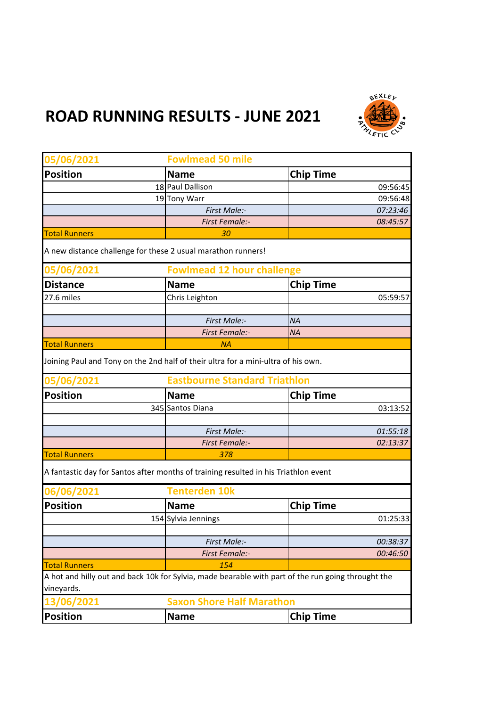## **ROAD RUNNING RESULTS - JUNE 2021**



| 05/06/2021                                                   | <b>Fowlmead 50 mile</b>                                                                                                   |                                   |  |
|--------------------------------------------------------------|---------------------------------------------------------------------------------------------------------------------------|-----------------------------------|--|
| <b>Position</b>                                              | <b>Name</b>                                                                                                               | <b>Chip Time</b>                  |  |
|                                                              | 18 Paul Dallison                                                                                                          | 09:56:45                          |  |
|                                                              | 19 Tony Warr                                                                                                              | 09:56:48                          |  |
|                                                              | First Male:-                                                                                                              | 07:23:46                          |  |
|                                                              | <b>First Female:-</b>                                                                                                     | 08:45:57                          |  |
| <b>Total Runners</b>                                         | 30                                                                                                                        |                                   |  |
| A new distance challenge for these 2 usual marathon runners! |                                                                                                                           |                                   |  |
| 05/06/2021                                                   |                                                                                                                           | <b>Fowlmead 12 hour challenge</b> |  |
| <b>Distance</b>                                              | <b>Name</b>                                                                                                               | <b>Chip Time</b>                  |  |
| 27.6 miles                                                   | Chris Leighton                                                                                                            | 05:59:57                          |  |
|                                                              |                                                                                                                           |                                   |  |
|                                                              | First Male:-                                                                                                              | <b>NA</b>                         |  |
|                                                              | <b>First Female:-</b>                                                                                                     | <b>NA</b>                         |  |
| <b>Total Runners</b>                                         | ΝA                                                                                                                        |                                   |  |
|                                                              | Joining Paul and Tony on the 2nd half of their ultra for a mini-ultra of his own.<br><b>Eastbourne Standard Triathlon</b> |                                   |  |
| 05/06/2021                                                   |                                                                                                                           |                                   |  |
| <b>Position</b>                                              | <b>Name</b>                                                                                                               | <b>Chip Time</b>                  |  |
|                                                              | 345 Santos Diana                                                                                                          | 03:13:52                          |  |
|                                                              |                                                                                                                           |                                   |  |
|                                                              | First Male:-                                                                                                              | 01:55:18                          |  |
|                                                              | <b>First Female:-</b>                                                                                                     | 02:13:37                          |  |
| <b>Total Runners</b>                                         | 378                                                                                                                       |                                   |  |
|                                                              | A fantastic day for Santos after months of training resulted in his Triathlon event                                       |                                   |  |
| 06/06/2021                                                   | <b>Tenterden 10k</b>                                                                                                      |                                   |  |
| <b>Position</b>                                              | <b>Name</b>                                                                                                               | <b>Chip Time</b>                  |  |
|                                                              | 154 Sylvia Jennings                                                                                                       | 01:25:33                          |  |
|                                                              |                                                                                                                           |                                   |  |
|                                                              | First Male:-                                                                                                              | 00:38:37                          |  |
|                                                              | <b>First Female:-</b>                                                                                                     | 00:46:50                          |  |
| <b>Total Runners</b>                                         | 154                                                                                                                       |                                   |  |
| vineyards.                                                   | A hot and hilly out and back 10k for Sylvia, made bearable with part of the run going throught the                        |                                   |  |
|                                                              |                                                                                                                           |                                   |  |
| <b>13/06/2021</b>                                            | <b>Saxon Shore Half Marathon</b>                                                                                          |                                   |  |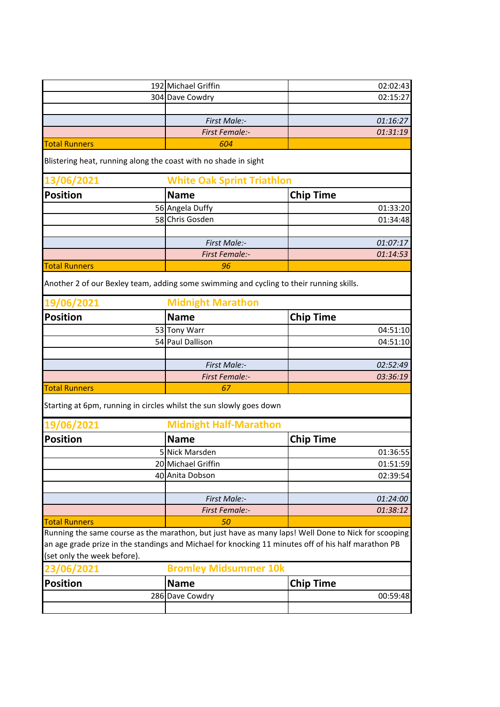|                             | 192 Michael Griffin                                                                     |                                   | 02:02:43                                                                                            |  |
|-----------------------------|-----------------------------------------------------------------------------------------|-----------------------------------|-----------------------------------------------------------------------------------------------------|--|
|                             | 304 Dave Cowdry                                                                         |                                   | 02:15:27                                                                                            |  |
|                             |                                                                                         |                                   |                                                                                                     |  |
|                             |                                                                                         | First Male:-                      | 01:16:27                                                                                            |  |
|                             |                                                                                         | <b>First Female:-</b>             | 01:31:19                                                                                            |  |
| <b>Total Runners</b>        |                                                                                         | 604                               |                                                                                                     |  |
|                             |                                                                                         |                                   |                                                                                                     |  |
|                             | Blistering heat, running along the coast with no shade in sight                         |                                   |                                                                                                     |  |
| 13/06/2021                  |                                                                                         | <b>White Oak Sprint Triathlon</b> |                                                                                                     |  |
| <b>Position</b>             | <b>Name</b>                                                                             |                                   | <b>Chip Time</b>                                                                                    |  |
|                             | 56 Angela Duffy                                                                         |                                   | 01:33:20                                                                                            |  |
|                             | 58 Chris Gosden                                                                         |                                   | 01:34:48                                                                                            |  |
|                             |                                                                                         |                                   |                                                                                                     |  |
|                             |                                                                                         | First Male:-                      | 01:07:17                                                                                            |  |
|                             |                                                                                         | <b>First Female:-</b>             | 01:14:53                                                                                            |  |
| <b>Total Runners</b>        |                                                                                         | 96                                |                                                                                                     |  |
|                             | Another 2 of our Bexley team, adding some swimming and cycling to their running skills. |                                   |                                                                                                     |  |
| 19/06/2021                  | <b>Midnight Marathon</b>                                                                |                                   |                                                                                                     |  |
| <b>Position</b>             | <b>Name</b>                                                                             |                                   | <b>Chip Time</b>                                                                                    |  |
|                             | 53 Tony Warr                                                                            |                                   | 04:51:10                                                                                            |  |
|                             | 54 Paul Dallison                                                                        |                                   | 04:51:10                                                                                            |  |
|                             |                                                                                         |                                   |                                                                                                     |  |
|                             |                                                                                         | First Male:-                      | 02:52:49                                                                                            |  |
|                             |                                                                                         | <b>First Female:-</b>             | 03:36:19                                                                                            |  |
| <b>Total Runners</b>        |                                                                                         | 67                                |                                                                                                     |  |
|                             | Starting at 6pm, running in circles whilst the sun slowly goes down                     |                                   |                                                                                                     |  |
| 19/06/2021                  |                                                                                         | <b>Midnight Half-Marathon</b>     |                                                                                                     |  |
| <b>Position</b>             | <b>Name</b>                                                                             |                                   | <b>Chip Time</b>                                                                                    |  |
|                             | 5 Nick Marsden                                                                          |                                   | 01:36:55                                                                                            |  |
|                             | 20 Michael Griffin                                                                      |                                   | 01:51:59                                                                                            |  |
|                             | 40 Anita Dobson                                                                         |                                   | 02:39:54                                                                                            |  |
|                             |                                                                                         |                                   |                                                                                                     |  |
|                             |                                                                                         | First Male:-                      | 01:24:00                                                                                            |  |
|                             |                                                                                         | <b>First Female:-</b>             | 01:38:12                                                                                            |  |
| <b>Total Runners</b>        |                                                                                         | 50                                |                                                                                                     |  |
|                             |                                                                                         |                                   | Running the same course as the marathon, but just have as many laps! Well Done to Nick for scooping |  |
|                             |                                                                                         |                                   | an age grade prize in the standings and Michael for knocking 11 minutes off of his half marathon PB |  |
| (set only the week before). |                                                                                         |                                   |                                                                                                     |  |
| 23/06/2021                  |                                                                                         | <b>Bromley Midsummer 10k</b>      |                                                                                                     |  |
| <b>Position</b>             | <b>Name</b>                                                                             |                                   | <b>Chip Time</b>                                                                                    |  |
|                             | 286 Dave Cowdry                                                                         |                                   | 00:59:48                                                                                            |  |
|                             |                                                                                         |                                   |                                                                                                     |  |
|                             |                                                                                         |                                   |                                                                                                     |  |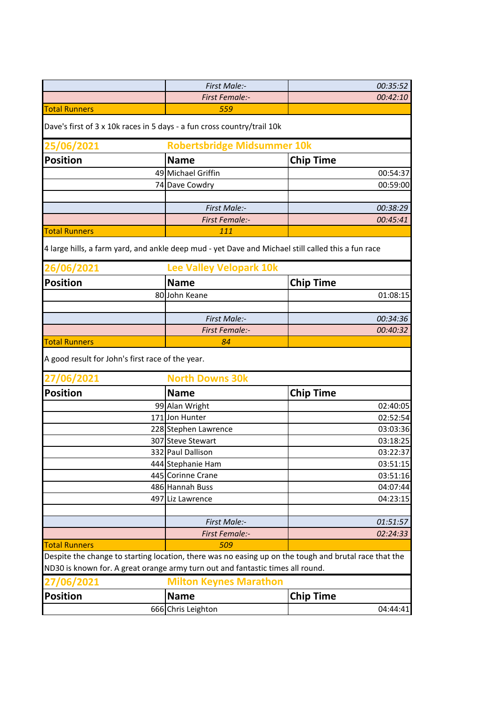|                                                                         | First Male:-                                                                                                                                                                            | 00:35:52                     |  |
|-------------------------------------------------------------------------|-----------------------------------------------------------------------------------------------------------------------------------------------------------------------------------------|------------------------------|--|
|                                                                         | <b>First Female:-</b>                                                                                                                                                                   | 00:42:10                     |  |
| <b>Total Runners</b>                                                    | 559                                                                                                                                                                                     |                              |  |
| Dave's first of 3 x 10k races in 5 days - a fun cross country/trail 10k |                                                                                                                                                                                         |                              |  |
| 25/06/2021                                                              | <b>Robertsbridge Midsummer 10k</b>                                                                                                                                                      |                              |  |
| <b>Position</b>                                                         | <b>Name</b>                                                                                                                                                                             | <b>Chip Time</b>             |  |
|                                                                         | 49 Michael Griffin                                                                                                                                                                      | 00:54:37                     |  |
|                                                                         | 74 Dave Cowdry                                                                                                                                                                          | 00:59:00                     |  |
|                                                                         |                                                                                                                                                                                         |                              |  |
|                                                                         | First Male:-                                                                                                                                                                            | 00:38:29                     |  |
|                                                                         | <b>First Female:-</b>                                                                                                                                                                   | 00:45:41                     |  |
| <b>Total Runners</b>                                                    | 111                                                                                                                                                                                     |                              |  |
|                                                                         | 4 large hills, a farm yard, and ankle deep mud - yet Dave and Michael still called this a fun race                                                                                      |                              |  |
| 26/06/2021                                                              | <b>Lee Valley Velopark 10k</b>                                                                                                                                                          |                              |  |
| <b>Position</b>                                                         | <b>Name</b>                                                                                                                                                                             | <b>Chip Time</b>             |  |
|                                                                         | 80 John Keane                                                                                                                                                                           | 01:08:15                     |  |
|                                                                         |                                                                                                                                                                                         |                              |  |
|                                                                         | First Male:-                                                                                                                                                                            | 00:34:36                     |  |
|                                                                         | <b>First Female:-</b>                                                                                                                                                                   | 00:40:32                     |  |
| <b>Total Runners</b>                                                    | 84                                                                                                                                                                                      |                              |  |
| A good result for John's first race of the year.                        |                                                                                                                                                                                         |                              |  |
| 27/06/2021                                                              | <b>North Downs 30k</b>                                                                                                                                                                  |                              |  |
| <b>Position</b>                                                         | <b>Name</b>                                                                                                                                                                             | <b>Chip Time</b>             |  |
|                                                                         | 99 Alan Wright                                                                                                                                                                          | 02:40:05                     |  |
|                                                                         | 171 Jon Hunter                                                                                                                                                                          | 02:52:54                     |  |
|                                                                         | 228 Stephen Lawrence                                                                                                                                                                    | 03:03:36                     |  |
|                                                                         | 307 Steve Stewart                                                                                                                                                                       | 03:18:25                     |  |
|                                                                         | 332 Paul Dallison                                                                                                                                                                       | 03:22:37                     |  |
|                                                                         | 444 Stephanie Ham                                                                                                                                                                       | 03:51:15                     |  |
|                                                                         | 445 Corinne Crane                                                                                                                                                                       | 03:51:16                     |  |
|                                                                         | 486 Hannah Buss                                                                                                                                                                         | 04:07:44                     |  |
|                                                                         | 497 Liz Lawrence                                                                                                                                                                        | 04:23:15                     |  |
|                                                                         |                                                                                                                                                                                         |                              |  |
|                                                                         | First Male:-                                                                                                                                                                            | 01:51:57                     |  |
|                                                                         | <b>First Female:-</b>                                                                                                                                                                   | 02:24:33                     |  |
| <b>Total Runners</b>                                                    | 509                                                                                                                                                                                     |                              |  |
|                                                                         | Despite the change to starting location, there was no easing up on the tough and brutal race that the<br>ND30 is known for. A great orange army turn out and fantastic times all round. |                              |  |
|                                                                         |                                                                                                                                                                                         |                              |  |
| 27/06/2021<br><b>Position</b>                                           | <b>Milton Keynes Marathon</b>                                                                                                                                                           |                              |  |
|                                                                         |                                                                                                                                                                                         |                              |  |
|                                                                         | <b>Name</b><br>666 Chris Leighton                                                                                                                                                       | <b>Chip Time</b><br>04:44:41 |  |